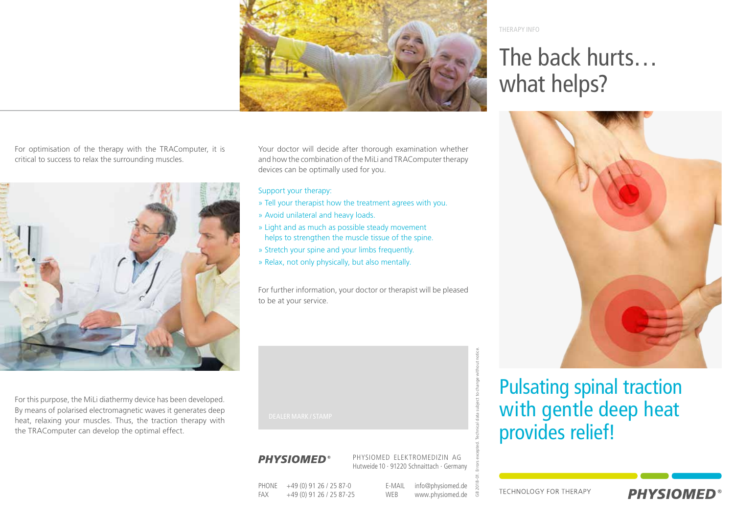

For optimisation of the therapy with the TRAComputer, it is critical to success to relax the surrounding muscles.



For this purpose, the MiLi diathermy device has been developed. By means of polarised electromagnetic waves it generates deep heat, relaxing your muscles. Thus, the traction therapy with the TRAComputer can develop the optimal effect.

Your doctor will decide after thorough examination whether and how the combination of the MiLi and TRAComputer therapy devices can be optimally used for you.

#### Support your therapy:

- » Tell your therapist how the treatment agrees with you.
- » Avoid unilateral and heavy loads.
- » Light and as much as possible steady movement helps to strengthen the muscle tissue of the spine.
- » Stretch your spine and your limbs frequently.
- » Relax, not only physically, but also mentally.

For further information, your doctor or therapist will be pleased to be at your service.

### **PHYSIOMED®**

PHYSIOMED ELEKTROMEDIZIN AG Hutweide10 · 91220 Schnaittach · Germany

PHONE +49 (0) 91 26 / 25 87-0 FAX +49 (0) 91 26 / 25 87-25 E-MAIL info@physiomed.de WEB www.physiomed.de THERAPY INFO

## The back hurts… what helps?



### Pulsating spinal traction with gentle deep heat provides relief!

**TECHNOLOGY FOR THERAPY** 



GB 2018-01. Errors excepted. Technical data subject to change without notice.